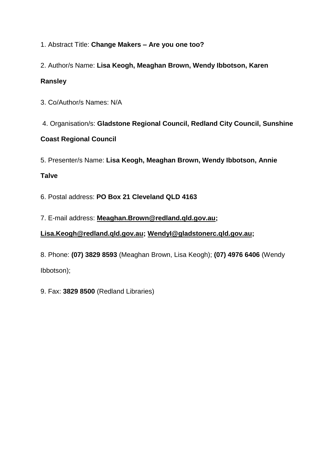1. Abstract Title: **Change Makers – Are you one too?**

2. Author/s Name: **Lisa Keogh, Meaghan Brown, Wendy Ibbotson, Karen**

# **Ransley**

3. Co/Author/s Names: N/A

4. Organisation/s: **Gladstone Regional Council, Redland City Council, Sunshine**

# **Coast Regional Council**

5. Presenter/s Name: **Lisa Keogh, Meaghan Brown, Wendy Ibbotson, Annie**

# **Talve**

6. Postal address: **PO Box 21 Cleveland QLD 4163**

7. E-mail address: **[Meaghan.Brown@redland.qld.gov.au;](mailto:Meaghan.Brown@redland.qld.gov.au)**

**[Lisa.Keogh@redland.qld.gov.au;](mailto:Lisa.Keogh@redland.qld.gov.au) [WendyI@gladstonerc.qld.gov.au;](mailto:WendyI@gladstonerc.qld.gov.au)**

8. Phone: **(07) 3829 8593** (Meaghan Brown, Lisa Keogh); **(07) 4976 6406** (Wendy Ibbotson);

9. Fax: **3829 8500** (Redland Libraries)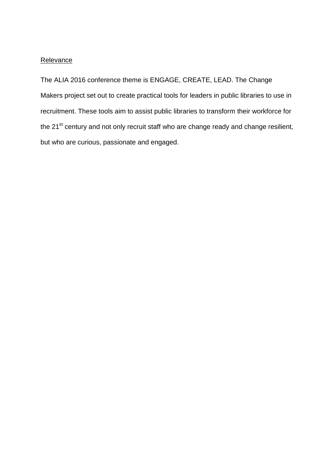#### **Relevance**

The ALIA 2016 conference theme is ENGAGE, CREATE, LEAD. The Change Makers project set out to create practical tools for leaders in public libraries to use in recruitment. These tools aim to assist public libraries to transform their workforce for the 21<sup>st</sup> century and not only recruit staff who are change ready and change resilient, but who are curious, passionate and engaged.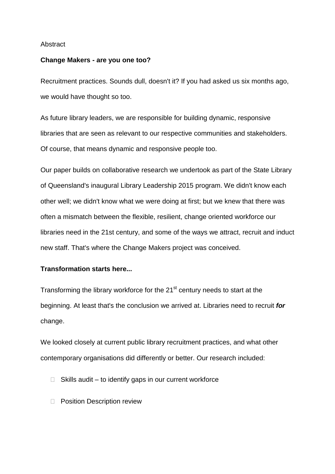#### **Abstract**

#### **Change Makers - are you one too?**

Recruitment practices. Sounds dull, doesn't it? If you had asked us six months ago, we would have thought so too.

As future library leaders, we are responsible for building dynamic, responsive libraries that are seen as relevant to our respective communities and stakeholders. Of course, that means dynamic and responsive people too.

Our paper builds on collaborative research we undertook as part of the State Library of Queensland's inaugural Library Leadership 2015 program. We didn't know each other well; we didn't know what we were doing at first; but we knew that there was often a mismatch between the flexible, resilient, change oriented workforce our libraries need in the 21st century, and some of the ways we attract, recruit and induct new staff. That's where the Change Makers project was conceived.

# **Transformation starts here...**

Transforming the library workforce for the 21<sup>st</sup> century needs to start at the beginning. At least that's the conclusion we arrived at. Libraries need to recruit *for* change.

We looked closely at current public library recruitment practices, and what other contemporary organisations did differently or better. Our research included:

- $\Box$  Skills audit to identify gaps in our current workforce
- D Position Description review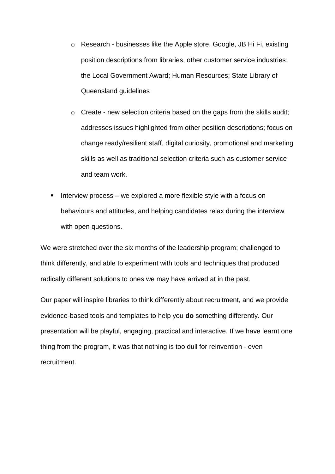- o Research businesses like the Apple store, Google, JB Hi Fi, existing position descriptions from libraries, other customer service industries; the Local Government Award; Human Resources; State Library of Queensland guidelines
- o Create new selection criteria based on the gaps from the skills audit; addresses issues highlighted from other position descriptions; focus on change ready/resilient staff, digital curiosity, promotional and marketing skills as well as traditional selection criteria such as customer service and team work.
- Interview process  $-$  we explored a more flexible style with a focus on behaviours and attitudes, and helping candidates relax during the interview with open questions.

We were stretched over the six months of the leadership program; challenged to think differently, and able to experiment with tools and techniques that produced radically different solutions to ones we may have arrived at in the past.

Our paper will inspire libraries to think differently about recruitment, and we provide evidence-based tools and templates to help you **do** something differently. Our presentation will be playful, engaging, practical and interactive. If we have learnt one thing from the program, it was that nothing is too dull for reinvention - even recruitment.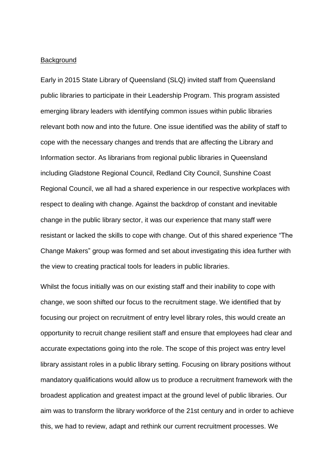#### **Background**

Early in 2015 State Library of Queensland (SLQ) invited staff from Queensland public libraries to participate in their Leadership Program. This program assisted emerging library leaders with identifying common issues within public libraries relevant both now and into the future. One issue identified was the ability of staff to cope with the necessary changes and trends that are affecting the Library and Information sector. As librarians from regional public libraries in Queensland including Gladstone Regional Council, Redland City Council, Sunshine Coast Regional Council, we all had a shared experience in our respective workplaces with respect to dealing with change. Against the backdrop of constant and inevitable change in the public library sector, it was our experience that many staff were resistant or lacked the skills to cope with change. Out of this shared experience "The Change Makers" group was formed and set about investigating this idea further with the view to creating practical tools for leaders in public libraries.

Whilst the focus initially was on our existing staff and their inability to cope with change, we soon shifted our focus to the recruitment stage. We identified that by focusing our project on recruitment of entry level library roles, this would create an opportunity to recruit change resilient staff and ensure that employees had clear and accurate expectations going into the role. The scope of this project was entry level library assistant roles in a public library setting. Focusing on library positions without mandatory qualifications would allow us to produce a recruitment framework with the broadest application and greatest impact at the ground level of public libraries. Our aim was to transform the library workforce of the 21st century and in order to achieve this, we had to review, adapt and rethink our current recruitment processes. We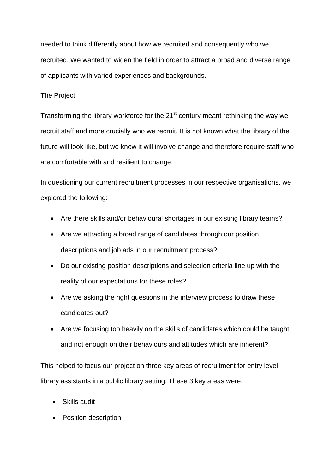needed to think differently about how we recruited and consequently who we recruited. We wanted to widen the field in order to attract a broad and diverse range of applicants with varied experiences and backgrounds.

# The Project

Transforming the library workforce for the 21<sup>st</sup> century meant rethinking the way we recruit staff and more crucially who we recruit. It is not known what the library of the future will look like, but we know it will involve change and therefore require staff who are comfortable with and resilient to change.

In questioning our current recruitment processes in our respective organisations, we explored the following:

- Are there skills and/or behavioural shortages in our existing library teams?
- Are we attracting a broad range of candidates through our position descriptions and job ads in our recruitment process?
- Do our existing position descriptions and selection criteria line up with the reality of our expectations for these roles?
- Are we asking the right questions in the interview process to draw these candidates out?
- Are we focusing too heavily on the skills of candidates which could be taught, and not enough on their behaviours and attitudes which are inherent?

This helped to focus our project on three key areas of recruitment for entry level library assistants in a public library setting. These 3 key areas were:

- Skills audit
- Position description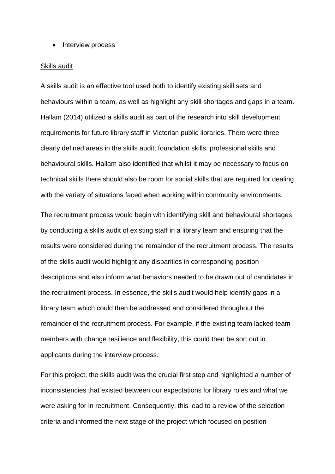• Interview process

#### Skills audit

A skills audit is an effective tool used both to identify existing skill sets and behaviours within a team, as well as highlight any skill shortages and gaps in a team. Hallam (2014) utilized a skills audit as part of the research into skill development requirements for future library staff in Victorian public libraries. There were three clearly defined areas in the skills audit; foundation skills; professional skills and behavioural skills. Hallam also identified that whilst it may be necessary to focus on technical skills there should also be room for social skills that are required for dealing with the variety of situations faced when working within community environments.

The recruitment process would begin with identifying skill and behavioural shortages by conducting a skills audit of existing staff in a library team and ensuring that the results were considered during the remainder of the recruitment process. The results of the skills audit would highlight any disparities in corresponding position descriptions and also inform what behaviors needed to be drawn out of candidates in the recruitment process. In essence, the skills audit would help identify gaps in a library team which could then be addressed and considered throughout the remainder of the recruitment process. For example, if the existing team lacked team members with change resilience and flexibility, this could then be sort out in applicants during the interview process.

For this project, the skills audit was the crucial first step and highlighted a number of inconsistencies that existed between our expectations for library roles and what we were asking for in recruitment. Consequently, this lead to a review of the selection criteria and informed the next stage of the project which focused on position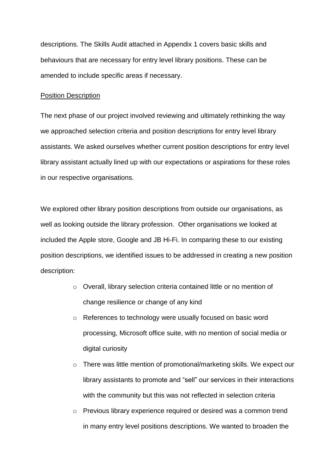descriptions. The Skills Audit attached in Appendix 1 covers basic skills and behaviours that are necessary for entry level library positions. These can be amended to include specific areas if necessary.

#### Position Description

The next phase of our project involved reviewing and ultimately rethinking the way we approached selection criteria and position descriptions for entry level library assistants. We asked ourselves whether current position descriptions for entry level library assistant actually lined up with our expectations or aspirations for these roles in our respective organisations.

We explored other library position descriptions from outside our organisations, as well as looking outside the library profession. Other organisations we looked at included the Apple store, Google and JB Hi-Fi. In comparing these to our existing position descriptions, we identified issues to be addressed in creating a new position description:

- o Overall, library selection criteria contained little or no mention of change resilience or change of any kind
- o References to technology were usually focused on basic word processing, Microsoft office suite, with no mention of social media or digital curiosity
- o There was little mention of promotional/marketing skills. We expect our library assistants to promote and "sell" our services in their interactions with the community but this was not reflected in selection criteria
- $\circ$  Previous library experience required or desired was a common trend in many entry level positions descriptions. We wanted to broaden the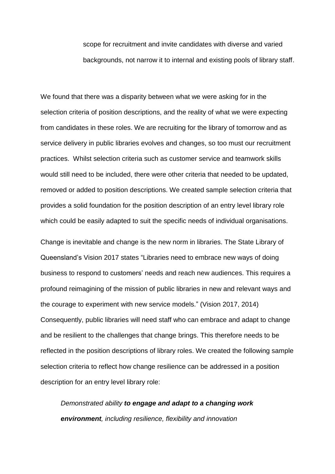scope for recruitment and invite candidates with diverse and varied backgrounds, not narrow it to internal and existing pools of library staff.

We found that there was a disparity between what we were asking for in the selection criteria of position descriptions, and the reality of what we were expecting from candidates in these roles. We are recruiting for the library of tomorrow and as service delivery in public libraries evolves and changes, so too must our recruitment practices. Whilst selection criteria such as customer service and teamwork skills would still need to be included, there were other criteria that needed to be updated, removed or added to position descriptions. We created sample selection criteria that provides a solid foundation for the position description of an entry level library role which could be easily adapted to suit the specific needs of individual organisations.

Change is inevitable and change is the new norm in libraries. The State Library of Queensland's Vision 2017 states "Libraries need to embrace new ways of doing business to respond to customers' needs and reach new audiences. This requires a profound reimagining of the mission of public libraries in new and relevant ways and the courage to experiment with new service models." (Vision 2017, 2014) Consequently, public libraries will need staff who can embrace and adapt to change and be resilient to the challenges that change brings. This therefore needs to be reflected in the position descriptions of library roles. We created the following sample selection criteria to reflect how change resilience can be addressed in a position description for an entry level library role:

*Demonstrated ability to engage and adapt to a changing work environment, including resilience, flexibility and innovation*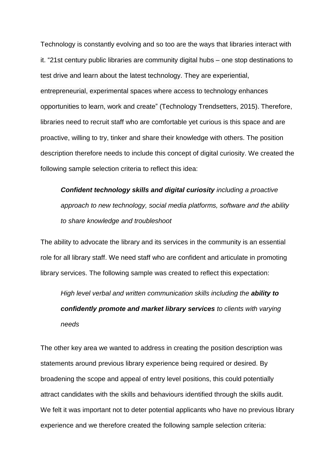Technology is constantly evolving and so too are the ways that libraries interact with it. "21st century public libraries are community digital hubs – one stop destinations to test drive and learn about the latest technology. They are experiential, entrepreneurial, experimental spaces where access to technology enhances opportunities to learn, work and create" (Technology Trendsetters, 2015). Therefore, libraries need to recruit staff who are comfortable yet curious is this space and are proactive, willing to try, tinker and share their knowledge with others. The position description therefore needs to include this concept of digital curiosity. We created the following sample selection criteria to reflect this idea:

*Confident technology skills and digital curiosity including a proactive approach to new technology, social media platforms, software and the ability to share knowledge and troubleshoot*

The ability to advocate the library and its services in the community is an essential role for all library staff. We need staff who are confident and articulate in promoting library services. The following sample was created to reflect this expectation:

*High level verbal and written communication skills including the ability to confidently promote and market library services to clients with varying needs*

The other key area we wanted to address in creating the position description was statements around previous library experience being required or desired. By broadening the scope and appeal of entry level positions, this could potentially attract candidates with the skills and behaviours identified through the skills audit. We felt it was important not to deter potential applicants who have no previous library experience and we therefore created the following sample selection criteria: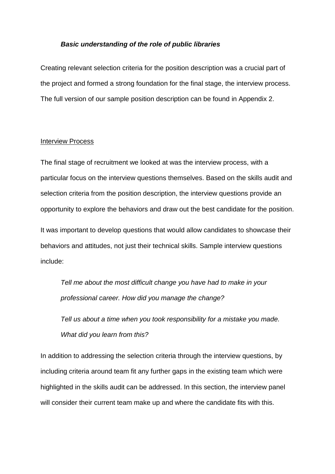#### *Basic understanding of the role of public libraries*

Creating relevant selection criteria for the position description was a crucial part of the project and formed a strong foundation for the final stage, the interview process. The full version of our sample position description can be found in Appendix 2.

#### Interview Process

The final stage of recruitment we looked at was the interview process, with a particular focus on the interview questions themselves. Based on the skills audit and selection criteria from the position description, the interview questions provide an opportunity to explore the behaviors and draw out the best candidate for the position.

It was important to develop questions that would allow candidates to showcase their behaviors and attitudes, not just their technical skills. Sample interview questions include:

*Tell me about the most difficult change you have had to make in your professional career. How did you manage the change?*

*Tell us about a time when you took responsibility for a mistake you made. What did you learn from this?*

In addition to addressing the selection criteria through the interview questions, by including criteria around team fit any further gaps in the existing team which were highlighted in the skills audit can be addressed. In this section, the interview panel will consider their current team make up and where the candidate fits with this.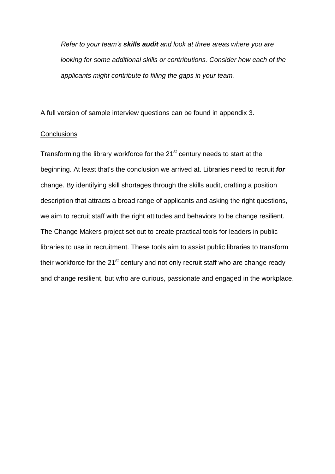*Refer to your team's skills audit and look at three areas where you are looking for some additional skills or contributions. Consider how each of the applicants might contribute to filling the gaps in your team.* 

A full version of sample interview questions can be found in appendix 3.

#### **Conclusions**

Transforming the library workforce for the 21<sup>st</sup> century needs to start at the beginning. At least that's the conclusion we arrived at. Libraries need to recruit *for* change. By identifying skill shortages through the skills audit, crafting a position description that attracts a broad range of applicants and asking the right questions, we aim to recruit staff with the right attitudes and behaviors to be change resilient. The Change Makers project set out to create practical tools for leaders in public libraries to use in recruitment. These tools aim to assist public libraries to transform their workforce for the  $21^{st}$  century and not only recruit staff who are change ready and change resilient, but who are curious, passionate and engaged in the workplace.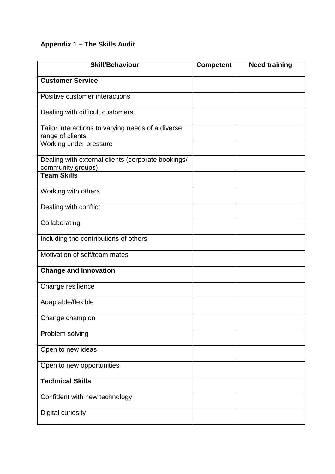# **Appendix 1 – The Skills Audit**

| <b>Skill/Behaviour</b>                                                  | <b>Competent</b> | <b>Need training</b> |
|-------------------------------------------------------------------------|------------------|----------------------|
| <b>Customer Service</b>                                                 |                  |                      |
| Positive customer interactions                                          |                  |                      |
| Dealing with difficult customers                                        |                  |                      |
| Tailor interactions to varying needs of a diverse<br>range of clients   |                  |                      |
| Working under pressure                                                  |                  |                      |
| Dealing with external clients (corporate bookings/<br>community groups) |                  |                      |
| <b>Team Skills</b>                                                      |                  |                      |
| Working with others                                                     |                  |                      |
| Dealing with conflict                                                   |                  |                      |
| Collaborating                                                           |                  |                      |
| Including the contributions of others                                   |                  |                      |
| Motivation of self/team mates                                           |                  |                      |
| <b>Change and Innovation</b>                                            |                  |                      |
| Change resilience                                                       |                  |                      |
| Adaptable/flexible                                                      |                  |                      |
| Change champion                                                         |                  |                      |
| Problem solving                                                         |                  |                      |
| Open to new ideas                                                       |                  |                      |
| Open to new opportunities                                               |                  |                      |
| <b>Technical Skills</b>                                                 |                  |                      |
| Confident with new technology                                           |                  |                      |
| <b>Digital curiosity</b>                                                |                  |                      |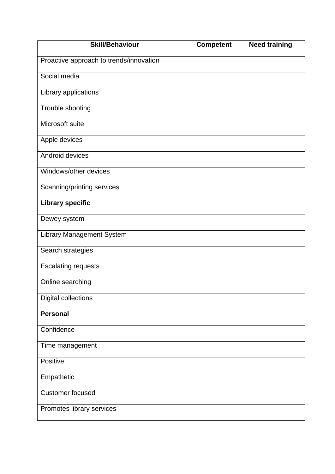| <b>Skill/Behaviour</b>                  | <b>Competent</b> | <b>Need training</b> |
|-----------------------------------------|------------------|----------------------|
| Proactive approach to trends/innovation |                  |                      |
| Social media                            |                  |                      |
| Library applications                    |                  |                      |
| Trouble shooting                        |                  |                      |
| Microsoft suite                         |                  |                      |
| Apple devices                           |                  |                      |
| Android devices                         |                  |                      |
| Windows/other devices                   |                  |                      |
| Scanning/printing services              |                  |                      |
| <b>Library specific</b>                 |                  |                      |
| Dewey system                            |                  |                      |
| <b>Library Management System</b>        |                  |                      |
| Search strategies                       |                  |                      |
| <b>Escalating requests</b>              |                  |                      |
| Online searching                        |                  |                      |
| <b>Digital collections</b>              |                  |                      |
| <b>Personal</b>                         |                  |                      |
| Confidence                              |                  |                      |
| Time management                         |                  |                      |
| Positive                                |                  |                      |
| Empathetic                              |                  |                      |
| <b>Customer focused</b>                 |                  |                      |
| Promotes library services               |                  |                      |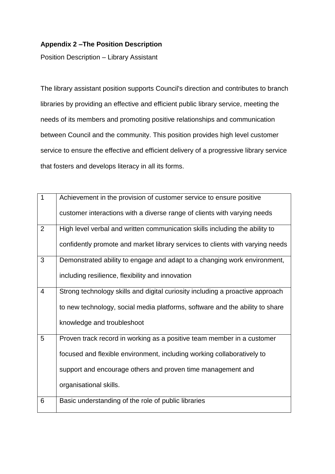# **Appendix 2 –The Position Description**

Position Description – Library Assistant

The library assistant position supports Council's direction and contributes to branch libraries by providing an effective and efficient public library service, meeting the needs of its members and promoting positive relationships and communication between Council and the community. This position provides high level customer service to ensure the effective and efficient delivery of a progressive library service that fosters and develops literacy in all its forms.

| $\mathbf{1}$   | Achievement in the provision of customer service to ensure positive           |
|----------------|-------------------------------------------------------------------------------|
|                | customer interactions with a diverse range of clients with varying needs      |
| $\overline{2}$ | High level verbal and written communication skills including the ability to   |
|                | confidently promote and market library services to clients with varying needs |
| 3              | Demonstrated ability to engage and adapt to a changing work environment,      |
|                | including resilience, flexibility and innovation                              |
| 4              | Strong technology skills and digital curiosity including a proactive approach |
|                | to new technology, social media platforms, software and the ability to share  |
|                | knowledge and troubleshoot                                                    |
| 5              | Proven track record in working as a positive team member in a customer        |
|                | focused and flexible environment, including working collaboratively to        |
|                | support and encourage others and proven time management and                   |
|                | organisational skills.                                                        |
| 6              | Basic understanding of the role of public libraries                           |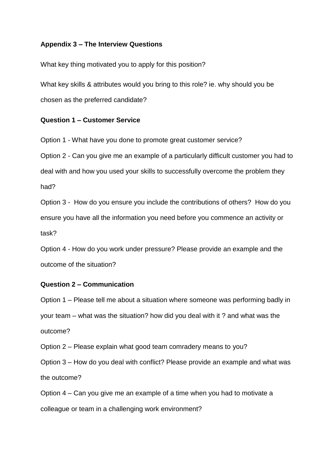## **Appendix 3 – The Interview Questions**

What key thing motivated you to apply for this position?

What key skills & attributes would you bring to this role? ie. why should you be chosen as the preferred candidate?

## **Question 1 – Customer Service**

Option 1 - What have you done to promote great customer service?

Option 2 - Can you give me an example of a particularly difficult customer you had to deal with and how you used your skills to successfully overcome the problem they had?

Option 3 - How do you ensure you include the contributions of others? How do you ensure you have all the information you need before you commence an activity or task?

Option 4 - How do you work under pressure? Please provide an example and the outcome of the situation?

## **Question 2 – Communication**

Option 1 – Please tell me about a situation where someone was performing badly in your team – what was the situation? how did you deal with it ? and what was the outcome?

Option 2 – Please explain what good team comradery means to you?

Option 3 – How do you deal with conflict? Please provide an example and what was the outcome?

Option 4 – Can you give me an example of a time when you had to motivate a colleague or team in a challenging work environment?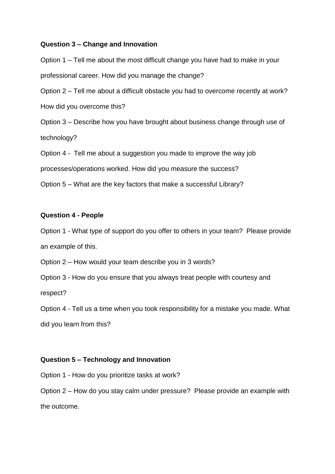#### **Question 3 – Change and Innovation**

Option 1 – Tell me about the most difficult change you have had to make in your professional career. How did you manage the change? Option 2 – Tell me about a difficult obstacle you had to overcome recently at work? How did you overcome this? Option 3 – Describe how you have brought about business change through use of technology? Option 4 - Tell me about a suggestion you made to improve the way job processes/operations worked. How did you measure the success? Option 5 – What are the key factors that make a successful Library?

## **Question 4 - People**

Option 1 - What type of support do you offer to others in your team? Please provide an example of this.

Option 2 – How would your team describe you in 3 words?

Option 3 - How do you ensure that you always treat people with courtesy and

respect?

Option 4 - Tell us a time when you took responsibility for a mistake you made. What did you learn from this?

## **Question 5 – Technology and Innovation**

Option 1 - How do you prioritize tasks at work?

Option 2 – How do you stay calm under pressure? Please provide an example with the outcome.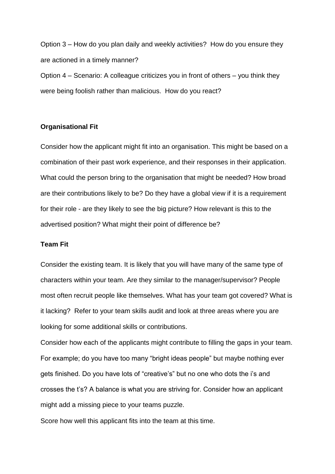Option 3 – How do you plan daily and weekly activities? How do you ensure they are actioned in a timely manner? Option 4 – Scenario: A colleague criticizes you in front of others – you think they were being foolish rather than malicious. How do you react?

## **Organisational Fit**

Consider how the applicant might fit into an organisation. This might be based on a combination of their past work experience, and their responses in their application. What could the person bring to the organisation that might be needed? How broad are their contributions likely to be? Do they have a global view if it is a requirement for their role - are they likely to see the big picture? How relevant is this to the advertised position? What might their point of difference be?

## **Team Fit**

Consider the existing team. It is likely that you will have many of the same type of characters within your team. Are they similar to the manager/supervisor? People most often recruit people like themselves. What has your team got covered? What is it lacking? Refer to your team skills audit and look at three areas where you are looking for some additional skills or contributions.

Consider how each of the applicants might contribute to filling the gaps in your team. For example; do you have too many "bright ideas people" but maybe nothing ever gets finished. Do you have lots of "creative's" but no one who dots the i's and crosses the t's? A balance is what you are striving for. Consider how an applicant might add a missing piece to your teams puzzle.

Score how well this applicant fits into the team at this time.